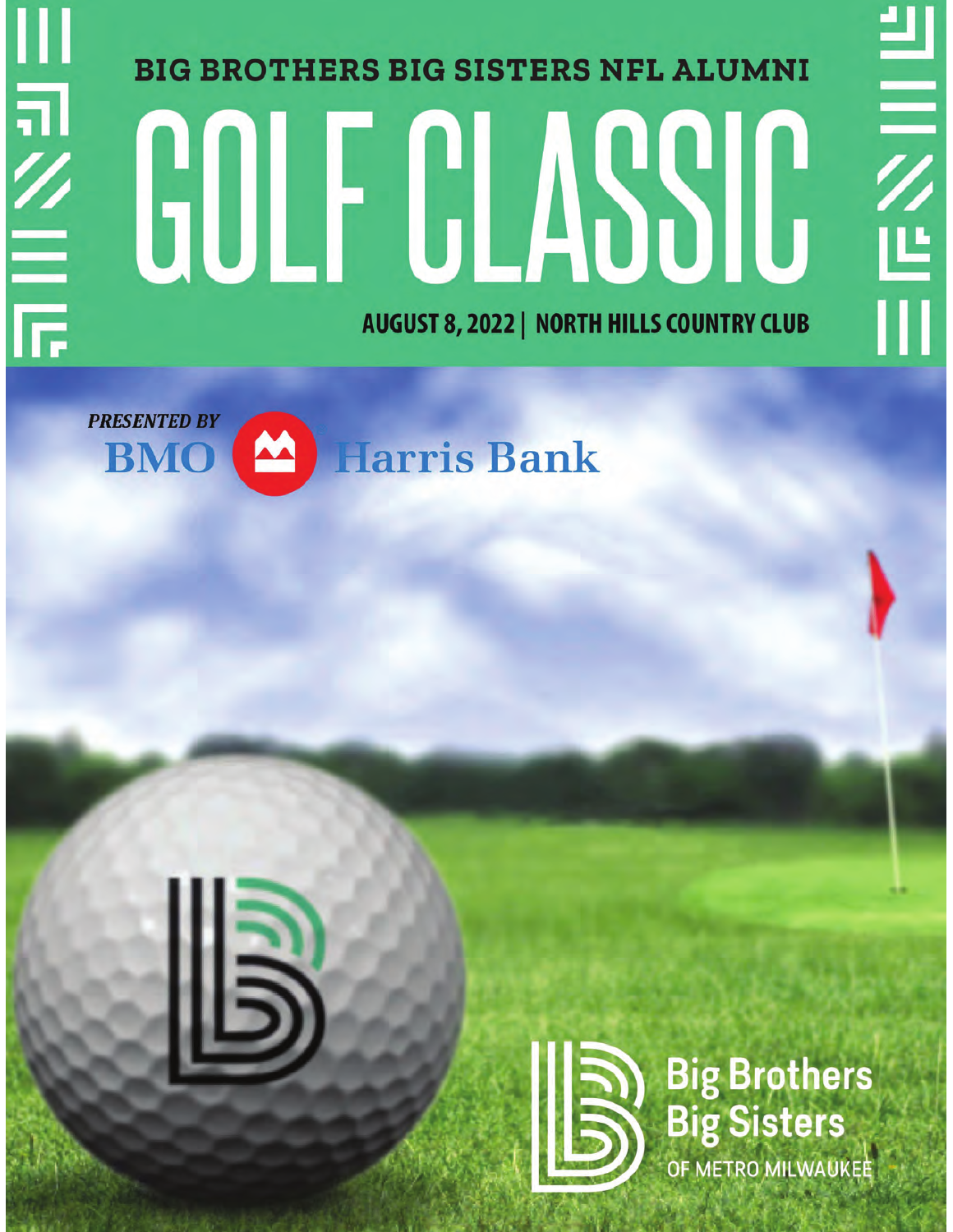# 川司么三 **BIG BROTHERS BIG SISTERS NFL ALUMNI** GOLF CLASSIC **AUGUST 8, 2022 | NORTH HILLS COUNTRY CLUB**





**Big Brothers Big Sisters** OF METRO MILWAUKEE

**HEXEL**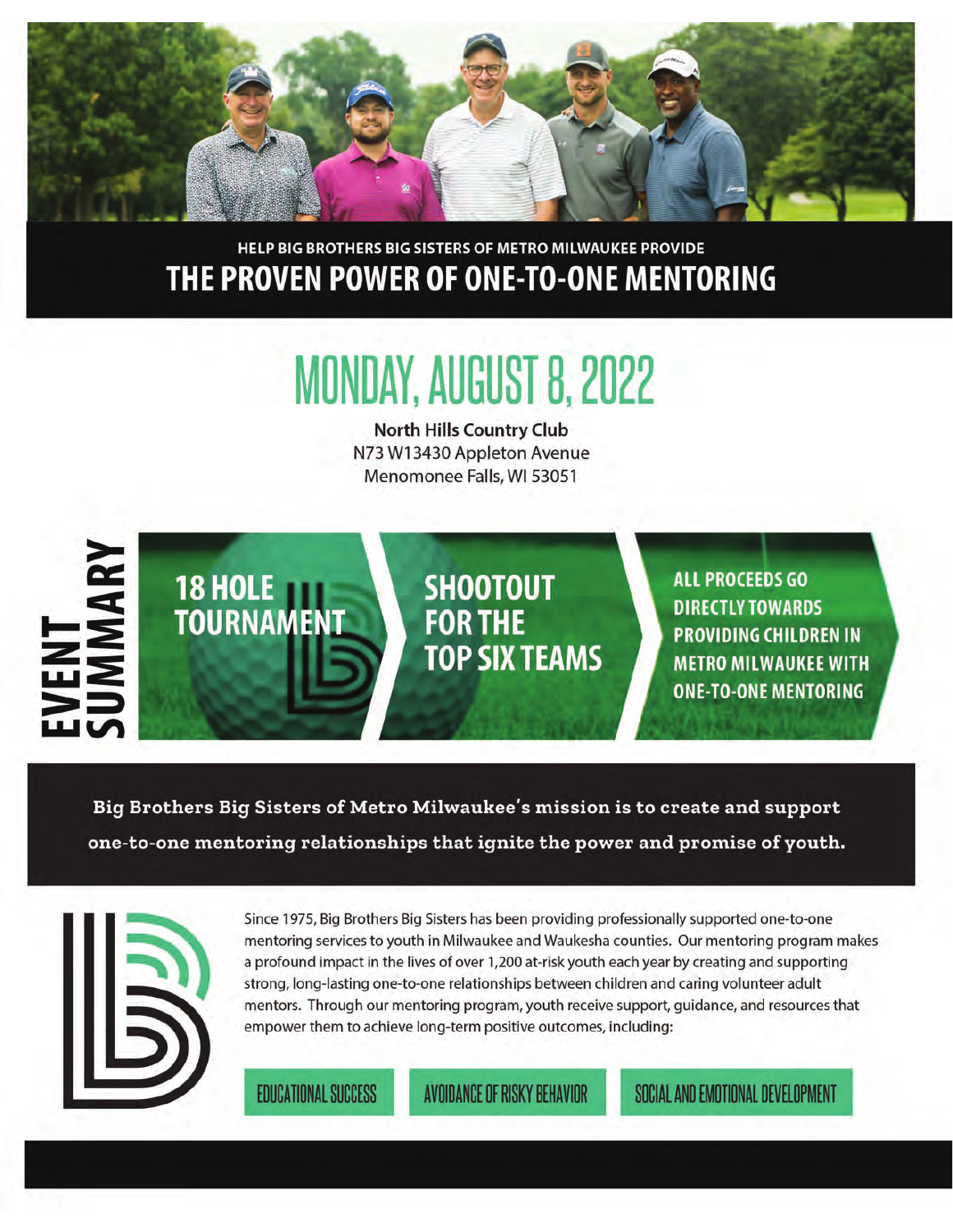

#### HELP BIG BROTHERS BIG SISTERS OF METRO MILWAUKEE PROVIDE THE PROVEN POWER OF ONE-TO-ONE MENTORING

### **MONDAY, AUGUST 8, 2022**

**North Hills Country Club** N73 W13430 Appleton Avenue Menomonee Falls, WI 53051



Big Brothers Big Sisters of Metro Milwaukee's mission is to create and support one-to-one mentoring relationships that ignite the power and promise of youth.



Since 1975, Big Brothers Big Sisters has been providing professionally supported one-to-one mentoring services to youth in Milwaukee and Waukesha counties. Our mentoring program makes a profound impact in the lives of over 1,200 at-risk youth each year by creating and supporting strong, long-lasting one-to-one relationships between children and caring volunteer adult mentors. Through our mentoring program, youth receive support, guidance, and resources that empower them to achieve long-term positive outcomes, including:

**EDUCATIONAL SUCCESS** 

AVOIDANCE OF RISKY BEHAVIOR

SOCIAL AND EMOTIONAL DEVELOPMENT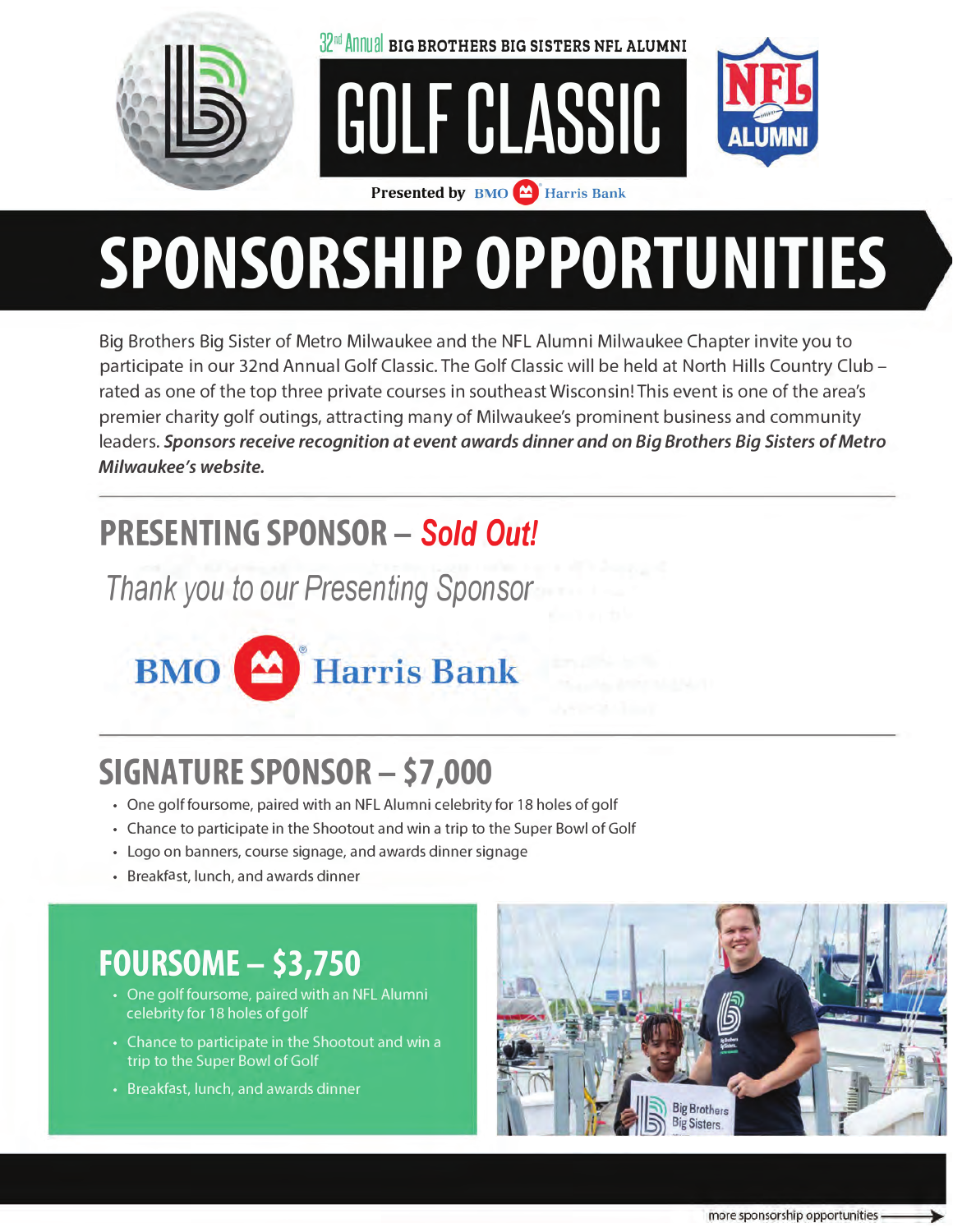

 $32<sup>nd</sup>$  Annual BIG BROTHERS BIG SISTERS NFL ALUMNI

GOLF CLASSIC



Presented by **BMO M** Harris Bank

# SPONSORSHIP OPPORTUNITIES

Big Brothers Big Sister of Metro Milwaukee and the NFL Alumni Milwaukee Chapter invite you to participate in our 32nd Annual Golf Classic. The Golf Classic will be held at North Hills Country Club rated as one of the top three private courses in southeast Wisconsin! This event is one of the area's premier charity golf outings, attracting many of Milwaukee's prominent business and community leaders. Sponsors receive recognition at event awards dinner and on Big Brothers Big Sisters of Metro Milwaukee's website.

#### **PRESENTING SPONSOR - Sold Out!**

Thank you to our Presenting Sponsor



### **SIGNATURE SPONSOR - \$7,000**

- One golf foursome, paired with an NFL Alumni celebrity for 18 holes of golf
- Chance to participate in the Shootout and win a trip to the Super Bowl of Golf
- Logo on banners, course signage, and awards dinner signage
- Breakfast, lunch, and awards dinner

#### **FOURSOME - \$3,750**

- One golf foursome, paired with an NFL Alumni celebrity for 18 holes of golf
- Chance to participate in the Shootout and win a trip to the Super Bowl of Golf
- Breakfast, lunch, and awards dinner